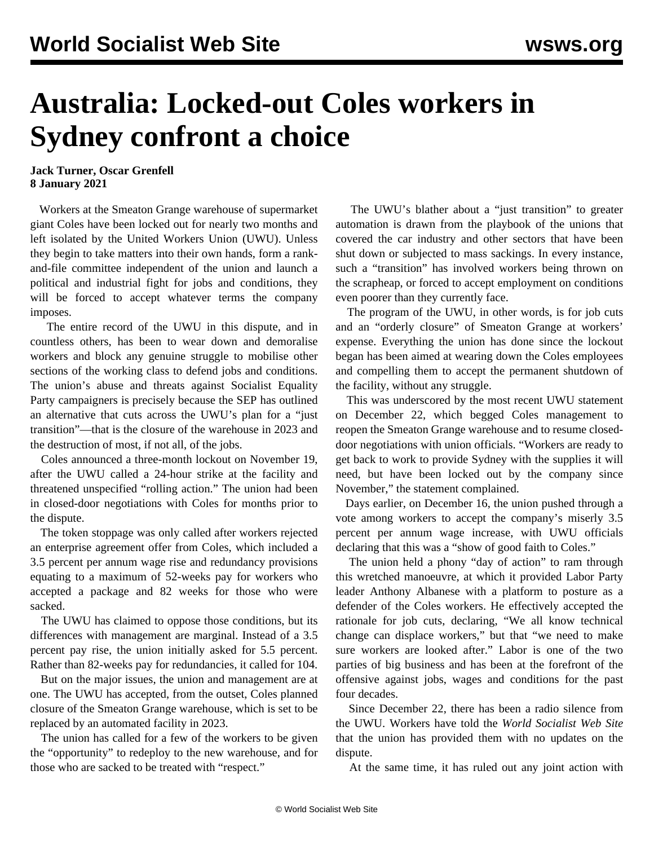## **Australia: Locked-out Coles workers in Sydney confront a choice**

## **Jack Turner, Oscar Grenfell 8 January 2021**

 Workers at the Smeaton Grange warehouse of supermarket giant Coles have been locked out for nearly two months and left isolated by the United Workers Union (UWU). Unless they begin to take matters into their own hands, form a rankand-file committee independent of the union and launch a political and industrial fight for jobs and conditions, they will be forced to accept whatever terms the company imposes.

 The entire record of the UWU in this dispute, and in countless others, has been to wear down and demoralise workers and block any genuine struggle to mobilise other sections of the working class to defend jobs and conditions. The union's abuse and threats against Socialist Equality Party campaigners is precisely because the SEP has outlined an alternative that cuts across the UWU's plan for a "just transition"—that is the closure of the warehouse in 2023 and the destruction of most, if not all, of the jobs.

 Coles announced a three-month lockout on November 19, after the UWU called a 24-hour strike at the facility and threatened unspecified "rolling action." The union had been in closed-door negotiations with Coles for months prior to the dispute.

 The token stoppage was only called after workers rejected an enterprise agreement offer from Coles, which included a 3.5 percent per annum wage rise and redundancy provisions equating to a maximum of 52-weeks pay for workers who accepted a package and 82 weeks for those who were sacked.

 The UWU has claimed to oppose those conditions, but its differences with management are marginal. Instead of a 3.5 percent pay rise, the union initially asked for 5.5 percent. Rather than 82-weeks pay for redundancies, it called for 104.

 But on the major issues, the union and management are at one. The UWU has accepted, from the outset, Coles planned closure of the Smeaton Grange warehouse, which is set to be replaced by an automated facility in 2023.

 The union has called for a few of the workers to be given the "opportunity" to redeploy to the new warehouse, and for those who are sacked to be treated with "respect."

 The UWU's blather about a "just transition" to greater automation is drawn from the playbook of the unions that covered the car industry and other sectors that have been shut down or subjected to mass sackings. In every instance, such a "transition" has involved workers being thrown on the scrapheap, or forced to accept employment on conditions even poorer than they currently face.

 The program of the UWU, in other words, is for job cuts and an "orderly closure" of Smeaton Grange at workers' expense. Everything the union has done since the lockout began has been aimed at wearing down the Coles employees and compelling them to accept the permanent shutdown of the facility, without any struggle.

 This was underscored by the most recent UWU statement on December 22, which begged Coles management to reopen the Smeaton Grange warehouse and to resume closeddoor negotiations with union officials. "Workers are ready to get back to work to provide Sydney with the supplies it will need, but have been locked out by the company since November," the statement complained.

 Days earlier, on December 16, the union pushed through a vote among workers to accept the company's miserly 3.5 percent per annum wage increase, with UWU officials declaring that this was a "show of good faith to Coles."

 The union held a phony "day of action" to ram through this wretched manoeuvre, at which it provided Labor Party leader Anthony Albanese with a platform to posture as a defender of the Coles workers. He effectively accepted the rationale for job cuts, declaring, "We all know technical change can displace workers," but that "we need to make sure workers are looked after." Labor is one of the two parties of big business and has been at the forefront of the offensive against jobs, wages and conditions for the past four decades.

 Since December 22, there has been a radio silence from the UWU. Workers have told the *World Socialist Web Site* that the union has provided them with no updates on the dispute.

At the same time, it has ruled out any joint action with